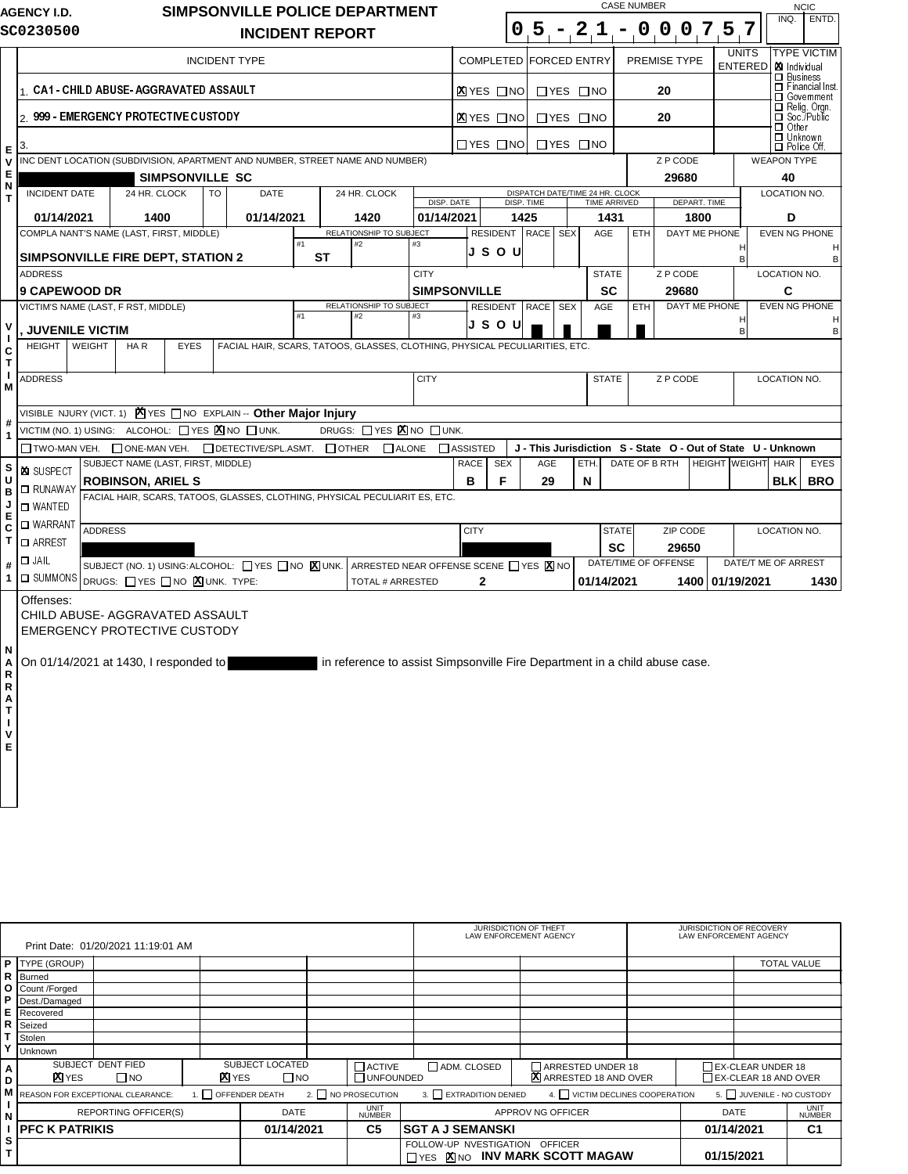|                   | <b>AGENCY I.D.</b>                                                                  |                                                                                                                                                            |                                          |                 |    |                                                                       |    |           | SIMPSONVILLE POLICE DEPARTMENT                                                                                              |                     |                  |                         |                   |                      |            |                                                              | <b>CASE NUMBER</b>   |          |          |                                |                      |                                                            |                     | <b>NCIC</b>                            |
|-------------------|-------------------------------------------------------------------------------------|------------------------------------------------------------------------------------------------------------------------------------------------------------|------------------------------------------|-----------------|----|-----------------------------------------------------------------------|----|-----------|-----------------------------------------------------------------------------------------------------------------------------|---------------------|------------------|-------------------------|-------------------|----------------------|------------|--------------------------------------------------------------|----------------------|----------|----------|--------------------------------|----------------------|------------------------------------------------------------|---------------------|----------------------------------------|
|                   | SC0230500                                                                           |                                                                                                                                                            |                                          |                 |    | <b>INCIDENT REPORT</b>                                                |    |           |                                                                                                                             |                     |                  |                         |                   |                      |            | $0.5 - 21 -$                                                 |                      |          |          |                                | 0 0 0 7 5 7          |                                                            | INQ.                | ENTD.                                  |
|                   | <b>INCIDENT TYPE</b>                                                                |                                                                                                                                                            |                                          |                 |    |                                                                       |    |           |                                                                                                                             |                     | <b>COMPLETED</b> |                         |                   | <b>FORCED ENTRY</b>  |            |                                                              | PREMISE TYPE         |          |          | <b>UNITS</b><br><b>ENTERED</b> |                      | XI Individual                                              | <b>TYPE VICTIM</b>  |                                        |
|                   |                                                                                     |                                                                                                                                                            | 1 CA1 CHILD ABUSE AGGRAVATED ASSAULT     |                 |    |                                                                       |    |           |                                                                                                                             |                     |                  | <b>X</b> IYES □NO       |                   | $\Box$ YES $\Box$ NO |            |                                                              |                      | 20       |          |                                |                      |                                                            | $\Box$ Business     | $\Box$ Financial Inst.<br>□ Government |
|                   | 2 999 EMERGENCY PROTECTIVE CUSTODY                                                  |                                                                                                                                                            |                                          |                 |    |                                                                       |    |           |                                                                                                                             |                     |                  | <b>X</b> IYES □NO       |                   | $\Box$ YES $\Box$ NO |            |                                                              |                      | 20       |          |                                |                      | Relig. Orgn.<br>O Soc./Public<br>$\Box$ Other              |                     |                                        |
| Е                 | 3.<br>INC DENT LOCATION (SUBDIVISION, APARTMENT AND NUMBER, STREET NAME AND NUMBER) |                                                                                                                                                            |                                          |                 |    |                                                                       |    |           |                                                                                                                             |                     |                  | $\Box$ YES $\Box$ NO    |                   | $\Box$ YES $\Box$ NO |            |                                                              |                      | Z P CODE |          |                                |                      | $\Box$ Unknown<br>$\Box$ Police Off.<br><b>WEAPON TYPE</b> |                     |                                        |
| V<br>Е            |                                                                                     |                                                                                                                                                            |                                          | SIMPSONVILLE SC |    |                                                                       |    |           |                                                                                                                             |                     |                  |                         |                   |                      |            |                                                              |                      |          | 29680    |                                |                      |                                                            | 40                  |                                        |
| N<br>T            | <b>INCIDENT DATE</b>                                                                |                                                                                                                                                            | 24 HR. CLOCK                             |                 | TO | <b>DATE</b>                                                           |    |           | 24 HR. CLOCK                                                                                                                |                     |                  |                         |                   |                      |            | DISPATCH DATE/TIME 24 HR. CLOCK                              |                      |          |          |                                |                      |                                                            | LOCATION NO.        |                                        |
|                   |                                                                                     |                                                                                                                                                            |                                          |                 |    |                                                                       |    |           |                                                                                                                             |                     | DISP. DATE       |                         | <b>DISP. TIME</b> |                      |            | <b>TIME ARRIVED</b>                                          |                      |          |          | DEPART. TIME                   |                      |                                                            |                     |                                        |
|                   | 01/14/2021                                                                          |                                                                                                                                                            | 1400                                     |                 |    | 01/14/2021                                                            |    |           | 1420<br>RELATIONSHIP TO SUBJECT                                                                                             | 01/14/2021          |                  |                         | 1425              |                      |            | 1431                                                         |                      |          |          | 1800                           |                      |                                                            | D                   |                                        |
|                   | <b>SIMPSONVILLE FIRE DEPT, STATION 2</b>                                            |                                                                                                                                                            | COMPLA NANT'S NAME (LAST, FIRST, MIDDLE) |                 |    |                                                                       | #1 | <b>ST</b> | #2                                                                                                                          | #3                  |                  | <b>RESIDENT</b><br>JSOU |                   | <b>RACE</b>          | <b>SEX</b> | AGE                                                          | ETH                  |          |          | DAYT ME PHONE                  | Н<br>B               |                                                            |                     | EVEN NG PHONE<br>В                     |
|                   | <b>ADDRESS</b>                                                                      |                                                                                                                                                            |                                          |                 |    |                                                                       |    |           |                                                                                                                             | <b>CITY</b>         |                  |                         |                   |                      |            | <b>STATE</b>                                                 |                      |          | Z P CODE |                                |                      |                                                            | LOCATION NO.        |                                        |
|                   | <b>9 CAPEWOOD DR</b>                                                                |                                                                                                                                                            |                                          |                 |    |                                                                       |    |           |                                                                                                                             | <b>SIMPSONVILLE</b> |                  |                         |                   |                      |            | <b>SC</b>                                                    |                      |          | 29680    |                                |                      |                                                            | C                   |                                        |
|                   |                                                                                     |                                                                                                                                                            | VICTIM'S NAME (LAST, F RST, MIDDLE)      |                 |    |                                                                       | #1 |           | RELATIONSHIP TO SUBJECT<br>#2                                                                                               |                     |                  | <b>RESIDENT</b>         |                   | RACE SEX             |            | AGE                                                          | ETH                  |          |          | DAYT ME PHONE                  |                      |                                                            |                     | <b>EVEN NG PHONE</b>                   |
| V<br>$\mathbf{I}$ | <b>JUVENILE VICTIM</b>                                                              |                                                                                                                                                            |                                          |                 |    |                                                                       |    |           |                                                                                                                             | #3                  |                  | JSOU                    |                   |                      |            |                                                              |                      |          |          |                                | H<br>B               |                                                            |                     | н<br>B                                 |
| C                 | <b>HEIGHT</b>                                                                       | WEIGHT                                                                                                                                                     | HAR                                      | <b>EYES</b>     |    |                                                                       |    |           | FACIAL HAIR, SCARS, TATOOS, GLASSES, CLOTHING, PHYSICAL PECULIARITIES, ETC.                                                 |                     |                  |                         |                   |                      |            |                                                              |                      |          |          |                                |                      |                                                            |                     |                                        |
| T<br>J.           | <b>ADDRESS</b>                                                                      |                                                                                                                                                            |                                          |                 |    |                                                                       |    |           |                                                                                                                             | <b>CITY</b>         |                  |                         |                   |                      |            | <b>STATE</b>                                                 |                      |          | Z P CODE |                                |                      |                                                            | LOCATION NO.        |                                        |
| M                 |                                                                                     |                                                                                                                                                            |                                          |                 |    |                                                                       |    |           |                                                                                                                             |                     |                  |                         |                   |                      |            |                                                              |                      |          |          |                                |                      |                                                            |                     |                                        |
| #                 |                                                                                     |                                                                                                                                                            |                                          |                 |    | VISIBLE NJURY (VICT. 1) <b>X</b> YES NO EXPLAIN -- Other Major Injury |    |           |                                                                                                                             |                     |                  |                         |                   |                      |            |                                                              |                      |          |          |                                |                      |                                                            |                     |                                        |
| 1                 |                                                                                     |                                                                                                                                                            |                                          |                 |    | VICTIM (NO. 1) USING: ALCOHOL: YES X NO UNK.                          |    |           | DRUGS: □ YES X NO □ UNK.                                                                                                    |                     |                  |                         |                   |                      |            |                                                              |                      |          |          |                                |                      |                                                            |                     |                                        |
|                   |                                                                                     |                                                                                                                                                            |                                          |                 |    | □ TWO-MAN VEH. □ ONE-MAN VEH. □ DETECTIVE/SPL.ASMT. □ OTHER           |    |           | $\Box$ ALONE                                                                                                                |                     | <b>NASSISTED</b> |                         |                   |                      |            | J - This Jurisdiction S - State O - Out of State U - Unknown |                      |          |          |                                |                      |                                                            |                     |                                        |
| S<br>Ù            | <b>XI SUSPECT</b>                                                                   |                                                                                                                                                            | SUBJECT NAME (LAST, FIRST, MIDDLE)       |                 |    |                                                                       |    |           |                                                                                                                             |                     | RACE             | <b>SEX</b>              |                   | AGE                  |            | ETH.                                                         | DATE OF B RTH        |          |          |                                | <b>HEIGHT WEIGHT</b> |                                                            | <b>HAIR</b>         | <b>EYES</b>                            |
| B                 | <b>O</b> RUNAWAY                                                                    |                                                                                                                                                            | <b>ROBINSON, ARIEL S</b>                 |                 |    |                                                                       |    |           | FACIAL HAIR, SCARS, TATOOS, GLASSES, CLOTHING, PHYSICAL PECULIARIT ES, ETC.                                                 |                     | B                | F                       |                   | 29                   |            | N                                                            |                      |          |          |                                |                      |                                                            | <b>BLK</b>          | <b>BRO</b>                             |
| J                 | □ WANTED                                                                            |                                                                                                                                                            |                                          |                 |    |                                                                       |    |           |                                                                                                                             |                     |                  |                         |                   |                      |            |                                                              |                      |          |          |                                |                      |                                                            |                     |                                        |
| E<br>C            | □ WARRANT                                                                           | <b>ADDRESS</b>                                                                                                                                             |                                          |                 |    |                                                                       |    |           |                                                                                                                             |                     |                  | <b>CITY</b>             |                   |                      |            |                                                              | <b>STATE</b>         |          |          | ZIP CODE                       |                      |                                                            | LOCATION NO.        |                                        |
| T                 | □ ARREST                                                                            |                                                                                                                                                            |                                          |                 |    |                                                                       |    |           |                                                                                                                             |                     |                  |                         |                   |                      |            |                                                              | <b>SC</b>            |          | 29650    |                                |                      |                                                            |                     |                                        |
| #                 | $\Box$ JAIL                                                                         |                                                                                                                                                            |                                          |                 |    |                                                                       |    |           | SUBJECT (NO. 1) USING: ALCOHOL: $\Box$ YES $\Box$ NO $\boxtimes$ UNK. ARRESTED NEAR OFFENSE SCENE $\Box$ YES $\boxtimes$ NO |                     |                  |                         |                   |                      |            |                                                              | DATE/TIME OF OFFENSE |          |          |                                |                      |                                                            | DATE/T ME OF ARREST |                                        |
| 1                 | $\Box$ SUMMONS                                                                      |                                                                                                                                                            | DRUGS: YES NO XUNK. TYPE:                |                 |    |                                                                       |    |           | <b>TOTAL # ARRESTED</b>                                                                                                     |                     |                  | $\mathbf{2}$            |                   |                      |            | 01/14/2021                                                   |                      |          |          |                                | 1400 01/19/2021      |                                                            |                     | 1430                                   |
|                   | Offenses:                                                                           |                                                                                                                                                            | CHILD ABUSE-AGGRAVATED ASSAULT           |                 |    |                                                                       |    |           |                                                                                                                             |                     |                  |                         |                   |                      |            |                                                              |                      |          |          |                                |                      |                                                            |                     |                                        |
| N<br>A<br>R       |                                                                                     | <b>EMERGENCY PROTECTIVE CUSTODY</b><br>On 01/14/2021 at 1430, I responded to<br>in reference to assist Simpsonville Fire Department in a child abuse case. |                                          |                 |    |                                                                       |    |           |                                                                                                                             |                     |                  |                         |                   |                      |            |                                                              |                      |          |          |                                |                      |                                                            |                     |                                        |
| R                 |                                                                                     |                                                                                                                                                            |                                          |                 |    |                                                                       |    |           |                                                                                                                             |                     |                  |                         |                   |                      |            |                                                              |                      |          |          |                                |                      |                                                            |                     |                                        |
| Α                 |                                                                                     |                                                                                                                                                            |                                          |                 |    |                                                                       |    |           |                                                                                                                             |                     |                  |                         |                   |                      |            |                                                              |                      |          |          |                                |                      |                                                            |                     |                                        |
| T<br>L            |                                                                                     |                                                                                                                                                            |                                          |                 |    |                                                                       |    |           |                                                                                                                             |                     |                  |                         |                   |                      |            |                                                              |                      |          |          |                                |                      |                                                            |                     |                                        |
| v                 |                                                                                     |                                                                                                                                                            |                                          |                 |    |                                                                       |    |           |                                                                                                                             |                     |                  |                         |                   |                      |            |                                                              |                      |          |          |                                |                      |                                                            |                     |                                        |
| E                 |                                                                                     |                                                                                                                                                            |                                          |                 |    |                                                                       |    |           |                                                                                                                             |                     |                  |                         |                   |                      |            |                                                              |                      |          |          |                                |                      |                                                            |                     |                                        |

|        |                                                                            | Print Date: 01/20/2021 11:19:01 AM |                   |                                             |                          |                   | JURISDICTION OF THEFT                                    | LAW ENFORCEMENT AGENCY         |                   |             | JURISDICTION OF RECOVERY<br>LAW ENFORCEMENT AGENCY |  |
|--------|----------------------------------------------------------------------------|------------------------------------|-------------------|---------------------------------------------|--------------------------|-------------------|----------------------------------------------------------|--------------------------------|-------------------|-------------|----------------------------------------------------|--|
|        | <b>P</b> TYPE (GROUP)                                                      |                                    |                   |                                             |                          |                   |                                                          |                                |                   |             | <b>TOTAL VALUE</b>                                 |  |
| R      | Burned                                                                     |                                    |                   |                                             |                          |                   |                                                          |                                |                   |             |                                                    |  |
|        | O Count /Forged                                                            |                                    |                   |                                             |                          |                   |                                                          |                                |                   |             |                                                    |  |
| Ρ      | Dest./Damaged                                                              |                                    |                   |                                             |                          |                   |                                                          |                                |                   |             |                                                    |  |
| E      | Recovered                                                                  |                                    |                   |                                             |                          |                   |                                                          |                                |                   |             |                                                    |  |
| R      | Seized                                                                     |                                    |                   |                                             |                          |                   |                                                          |                                |                   |             |                                                    |  |
|        | Stolen                                                                     |                                    |                   |                                             |                          |                   |                                                          |                                |                   |             |                                                    |  |
|        | <b>Unknown</b>                                                             |                                    |                   |                                             |                          |                   |                                                          |                                |                   |             |                                                    |  |
| Α      | SUBJECT DENT FIED                                                          |                                    | SUBJECT LOCATED   |                                             | $\Box$ ACTIVE            | ADM. CLOSED       | ARRESTED UNDER 18                                        |                                | EX-CLEAR UNDER 18 |             |                                                    |  |
| D      | <b>X</b> YES<br>$\Box$ NO<br>$\Box$ NO<br><b>UNFOUNDED</b><br><b>X</b> YES |                                    |                   | X ARRESTED 18 AND OVER                      |                          |                   | EX-CLEAR 18 AND OVER                                     |                                |                   |             |                                                    |  |
|        | REASON FOR EXCEPTIONAL CLEARANCE:                                          |                                    | 1. OFFENDER DEATH |                                             |                          | 2. NO PROSECUTION | 3. EXTRADITION DENIED                                    | 4. VICTIM DECLINES COOPERATION |                   |             | 5. JUVENILE - NO CUSTODY                           |  |
| ľN     | <b>REPORTING OFFICER(S)</b>                                                |                                    |                   | <b>UNIT</b><br><b>DATE</b><br><b>NUMBER</b> |                          | APPROV NG OFFICER |                                                          |                                |                   | <b>DATE</b> | UNIT<br><b>NUMBER</b>                              |  |
|        | C <sub>5</sub><br><b>IPFC K PATRIKIS</b><br>01/14/2021                     |                                    |                   |                                             | <b>ISGT A J SEMANSKI</b> | 01/14/2021        |                                                          | C <sub>1</sub>                 |                   |             |                                                    |  |
| s<br>т |                                                                            |                                    |                   |                                             |                          |                   | FOLLOW-UP NVESTIGATION<br>TYES XINO INV MARK SCOTT MAGAW | <b>OFFICER</b>                 |                   | 01/15/2021  |                                                    |  |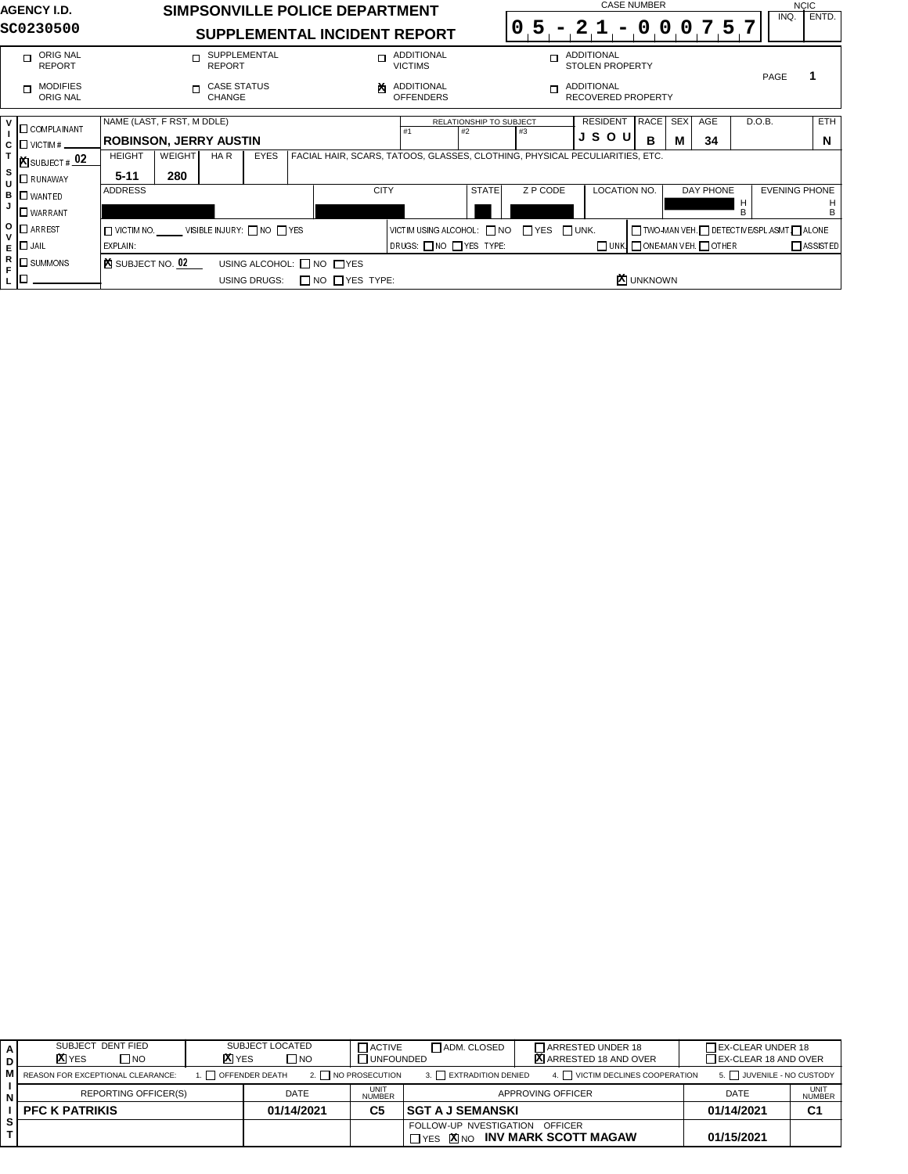| <b>AGENCY I.D.</b>                                                                                                                                                                                                                                                                                                  | SIMPSONVILLE POLICE DEPARTMENT                                                                                                                                                                                                                                                                                                     |                                                                                                                               | <b>CASE NUMBER</b>                                                                                                                                                                                                                                                                                                | <b>NCIC</b>                                                                       |
|---------------------------------------------------------------------------------------------------------------------------------------------------------------------------------------------------------------------------------------------------------------------------------------------------------------------|------------------------------------------------------------------------------------------------------------------------------------------------------------------------------------------------------------------------------------------------------------------------------------------------------------------------------------|-------------------------------------------------------------------------------------------------------------------------------|-------------------------------------------------------------------------------------------------------------------------------------------------------------------------------------------------------------------------------------------------------------------------------------------------------------------|-----------------------------------------------------------------------------------|
| SC0230500                                                                                                                                                                                                                                                                                                           | SUPPLEMENTAL INCIDENT REPORT                                                                                                                                                                                                                                                                                                       |                                                                                                                               | $21 - 000757$<br>$0.5 -$                                                                                                                                                                                                                                                                                          | ENTD.<br>INQ.                                                                     |
| ORIG NAL<br>$\Box$<br><b>REPORT</b>                                                                                                                                                                                                                                                                                 | SUPPLEMENTAL<br>$\Box$<br><b>REPORT</b>                                                                                                                                                                                                                                                                                            | ADDITIONAL<br>$\Box$<br><b>VICTIMS</b>                                                                                        | ADDITIONAL<br>$\Box$<br>STOLEN PROPERTY                                                                                                                                                                                                                                                                           | $\mathbf{1}$                                                                      |
| <b>MODIFIES</b><br>$\Box$<br>ORIG NAL                                                                                                                                                                                                                                                                               | <b>CASE STATUS</b><br>$\Box$<br>CHANGE                                                                                                                                                                                                                                                                                             | <b>ADDITIONAL</b><br>점<br><b>OFFENDERS</b>                                                                                    | ADDITIONAL<br>$\Box$<br><b>RECOVERED PROPERTY</b>                                                                                                                                                                                                                                                                 | PAGE                                                                              |
| $\mathsf{v}$<br><b>O</b> COMPLAINANT<br>$\mathbf{I}$<br>I□ victim # _<br>$\frac{\mathsf{c}}{\mathsf{r}}$<br><b>E</b> SUBJECT # 02<br>s<br><b>O</b> RUNAWAY<br>U<br>в<br>$\square$ WANTED<br>J<br>$\Box$ WARRANT<br>о<br>$\Box$ ARREST<br>$\mathsf{v}$<br>$\Box$ Jail<br>E<br>R<br>$\square$ SUMMONS<br>F<br>О<br>L. | NAME (LAST, F RST, M DDLE)<br><b>ROBINSON, JERRY AUSTIN</b><br><b>WEIGHT</b><br><b>HEIGHT</b><br>HA R<br><b>EYES</b><br>$5 - 11$<br>280<br><b>ADDRESS</b><br>VISIBLE INJURY: ON OTYES<br>$\Box$ VICTIM NO.<br>EXPLAIN:<br><b>EX</b> SUBJECT NO. 02<br>USING ALCOHOL: ON OUYES<br>$\Box$ NO $\Box$ YES TYPE:<br><b>USING DRUGS:</b> | RELATIONSHIP TO SUBJECT<br>#1<br>$\#2$<br><b>CITY</b><br><b>STATE</b><br>VICTIMUSING ALCOHOL: NO TYES UNK.<br>DRUGS: NO TYPE: | <b>RESIDENT</b><br>RACE<br><b>SEX</b><br>AGE<br>#3<br>JSOU<br>B<br>М<br>34<br>FACIAL HAIR, SCARS, TATOOS, GLASSES, CLOTHING, PHYSICAL PECULIARITIES, ETC.<br>Z P CODE<br>LOCATION NO.<br>DAY PHONE<br>TWO-MAN VEH. O DETECTIVE/SPL.ASMT. ALONE<br>$\Box$ UNK $\Box$ ONE-MAN VEH. $\Box$ OTHER<br><b>X</b> UNKNOWN | D.O.B.<br>ETH<br>N<br><b>EVENING PHONE</b><br>H<br>н<br>В<br>В<br>$\Box$ ASSISTED |
|                                                                                                                                                                                                                                                                                                                     |                                                                                                                                                                                                                                                                                                                                    |                                                                                                                               |                                                                                                                                                                                                                                                                                                                   |                                                                                   |

| SUBJECT DENT FIED<br><b>X</b> YES<br>ONT | SUBJECT LOCATED<br><b>XI</b> YES<br>$\square$ NO |                       | ADM. CLOSED<br><b>TACTIVE</b><br>UNFOUNDED |                                | TARRESTED UNDER 18<br>X ARRESTED 18 AND OVER | EX-CLEAR UNDER 18<br>$\Box$ EX-CLEAR 18 AND OVER |                       |
|------------------------------------------|--------------------------------------------------|-----------------------|--------------------------------------------|--------------------------------|----------------------------------------------|--------------------------------------------------|-----------------------|
| REASON FOR EXCEPTIONAL CLEARANCE:        |                                                  | $\Box$ OFFENDER DEATH | 2. NO PROSECUTION                          | 3. EXTRADITION DENIED          | 4. VICTIM DECLINES COOPERATION               | 5. JUVENILE - NO CUSTODY                         |                       |
| REPORTING OFFICER(S)                     |                                                  | <b>DATE</b>           | <b>UNIT</b><br><b>NUMBER</b>               |                                | APPROVING OFFICER                            | <b>DATE</b>                                      | UNIT<br><b>NUMBER</b> |
| <b>PFC K PATRIKIS</b>                    |                                                  | 01/14/2021            | C5                                         | <b>ISGT A J SEMANSKI</b>       |                                              | 01/14/2021                                       | C <sub>1</sub>        |
|                                          |                                                  |                       |                                            | FOLLOW-UP NVESTIGATION OFFICER | THES XINO INV MARK SCOTT MAGAW               | 01/15/2021                                       |                       |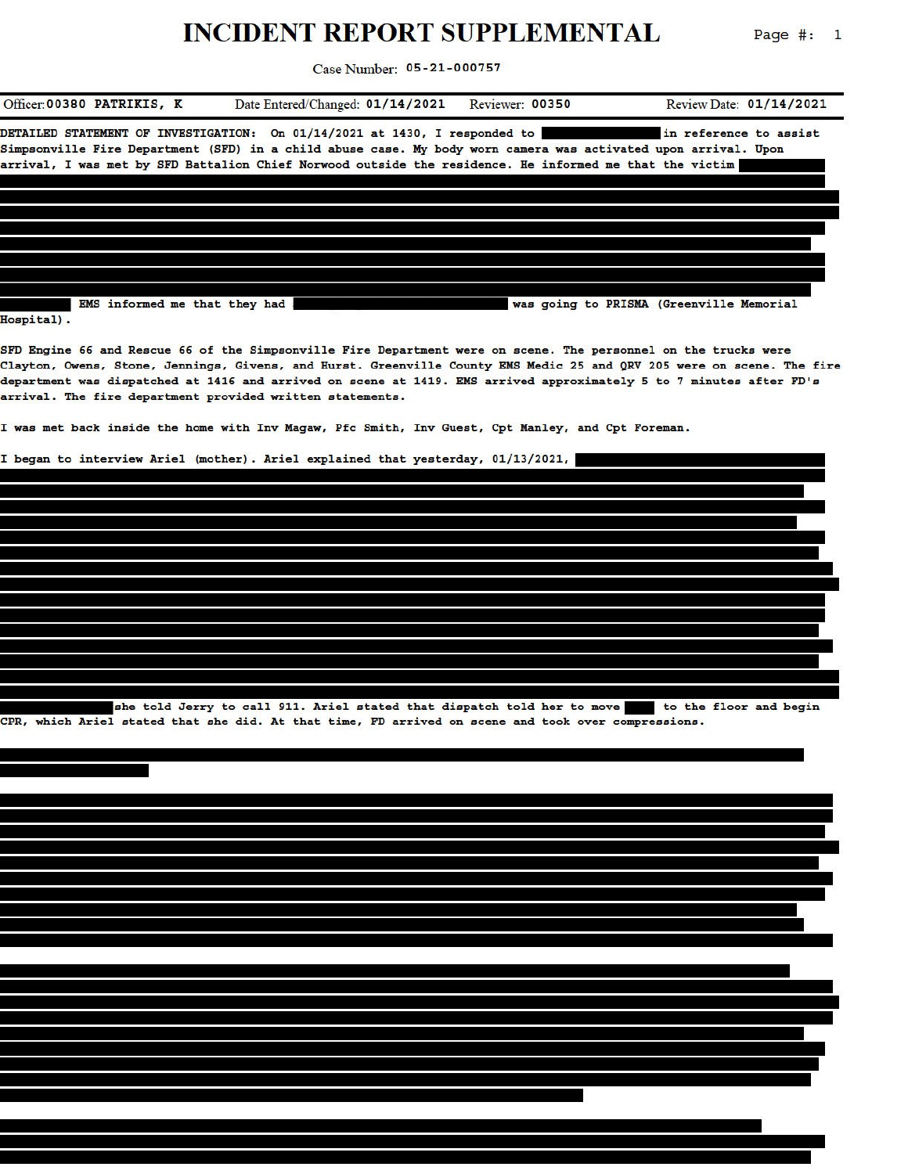## INCIDENT PEPOPT SHPPI EMENTAL

 $D = \pi e^{\frac{1}{2}}$  $\overline{a}$ 

|                                                           | INCIDENT KEFOKT SUFFLEMENTAL                                                                                                                                                                                                                                                                                                                                     |                 | Page #:<br>$\mathbf{I}$                  |
|-----------------------------------------------------------|------------------------------------------------------------------------------------------------------------------------------------------------------------------------------------------------------------------------------------------------------------------------------------------------------------------------------------------------------------------|-----------------|------------------------------------------|
|                                                           | Case Number: 05-21-000757                                                                                                                                                                                                                                                                                                                                        |                 |                                          |
| Officer:00380 PATRIKIS, K                                 | Date Entered/Changed: 01/14/2021                                                                                                                                                                                                                                                                                                                                 | Reviewer: 00350 | Review Date: 01/14/2021                  |
|                                                           | DETAILED STATEMENT OF INVESTIGATION: On 01/14/2021 at 1430, I responded to<br>Simpsonville Fire Department (SFD) in a child abuse case. My body worn camera was activated upon arrival. Upon<br>arrival, I was met by SFD Battalion Chief Norwood outside the residence. He informed me that the victim                                                          |                 | in reference to assist                   |
|                                                           |                                                                                                                                                                                                                                                                                                                                                                  |                 |                                          |
| EMS informed me that they had<br>Hospital).               |                                                                                                                                                                                                                                                                                                                                                                  |                 | was going to PRISMA (Greenville Memorial |
| arrival. The fire department provided written statements. | SFD Engine 66 and Rescue 66 of the Simpsonville Fire Department were on scene. The personnel on the trucks were<br>Clayton, Owens, Stone, Jennings, Givens, and Hurst. Greenville County EMS Medic 25 and QRV 205 were on scene. The fire<br>department was dispatched at 1416 and arrived on scene at 1419. EMS arrived approximately 5 to 7 minutes after FD's |                 |                                          |
|                                                           | I was met back inside the home with Inv Maqaw, Pfc Smith, Inv Guest, Cpt Manley, and Cpt Foreman.                                                                                                                                                                                                                                                                |                 |                                          |
|                                                           | I began to interview Ariel (mother). Ariel explained that yesterday, 01/13/2021,                                                                                                                                                                                                                                                                                 |                 |                                          |
|                                                           |                                                                                                                                                                                                                                                                                                                                                                  |                 |                                          |
|                                                           |                                                                                                                                                                                                                                                                                                                                                                  |                 |                                          |
|                                                           |                                                                                                                                                                                                                                                                                                                                                                  |                 |                                          |
|                                                           | she told Jerry to call 911. Ariel stated that dispatch told her to move to the floor and begin<br>CPR, which Ariel stated that she did. At that time, FD arrived on scene and took over compressions.                                                                                                                                                            |                 |                                          |
|                                                           |                                                                                                                                                                                                                                                                                                                                                                  |                 |                                          |
|                                                           |                                                                                                                                                                                                                                                                                                                                                                  |                 |                                          |
|                                                           |                                                                                                                                                                                                                                                                                                                                                                  |                 |                                          |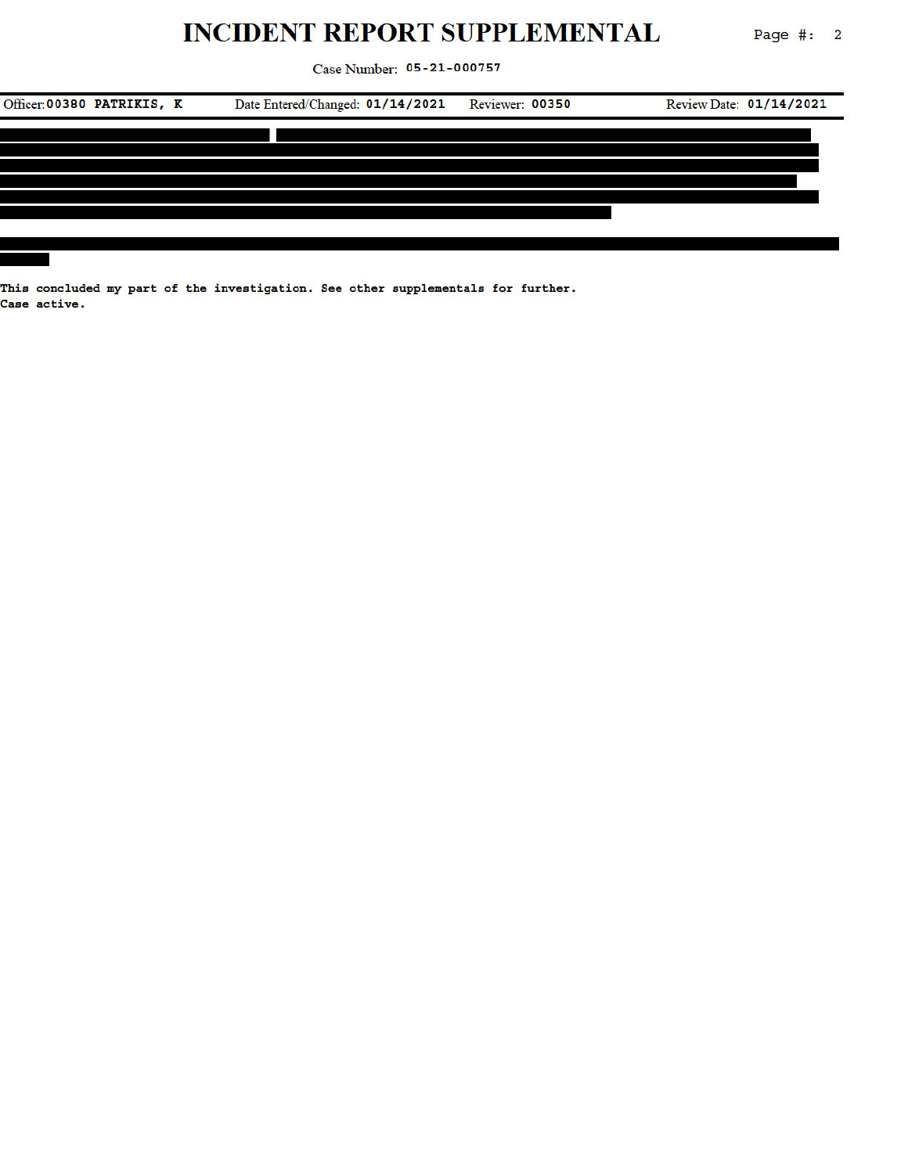## **INCIDENT REPORT SUPPLEMENTAL**

Page  $\#: 2$ 

Case Number: 05-21-000757



This concluded my part of the investigation. See other supplementals for further. Case active.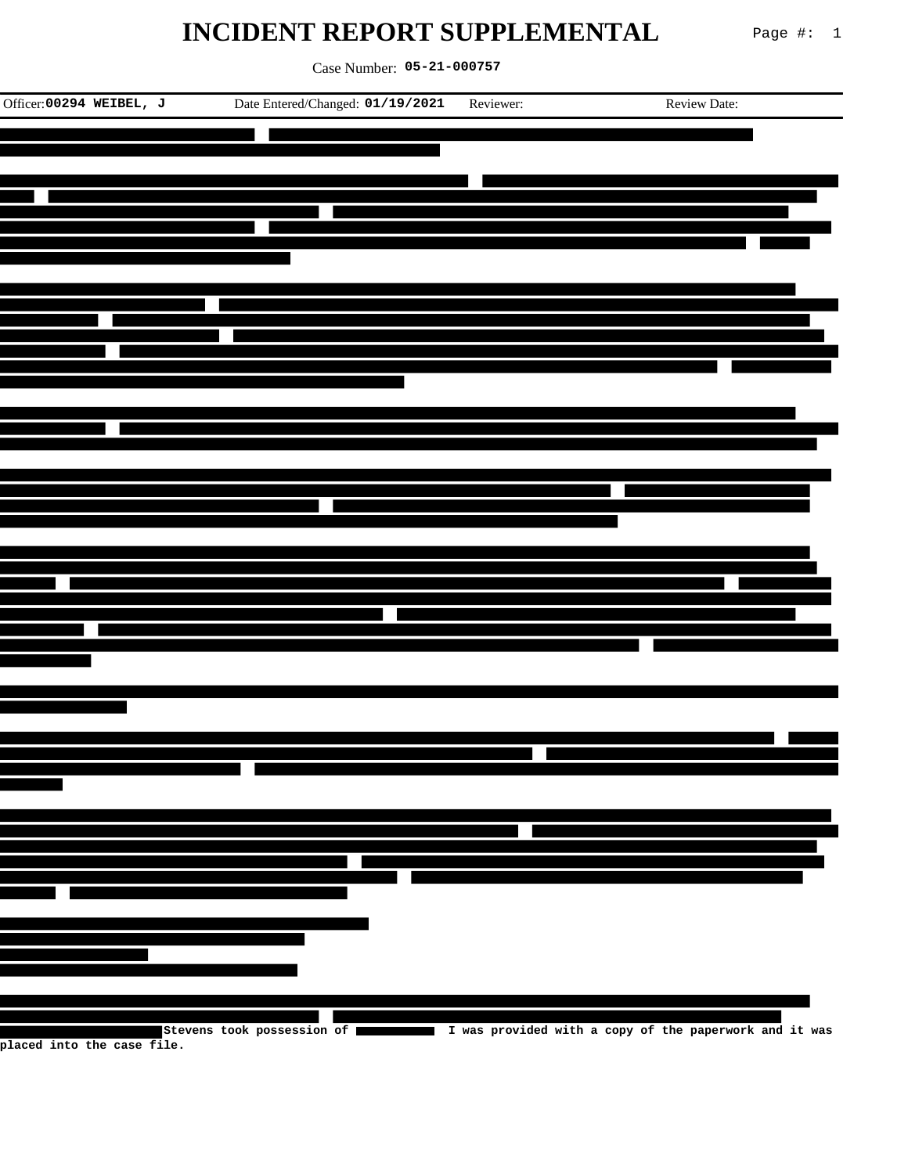## **INCIDENT REPORT SUPPLEMENTAL** Page #: 1

Case Number: **05-21-000757**